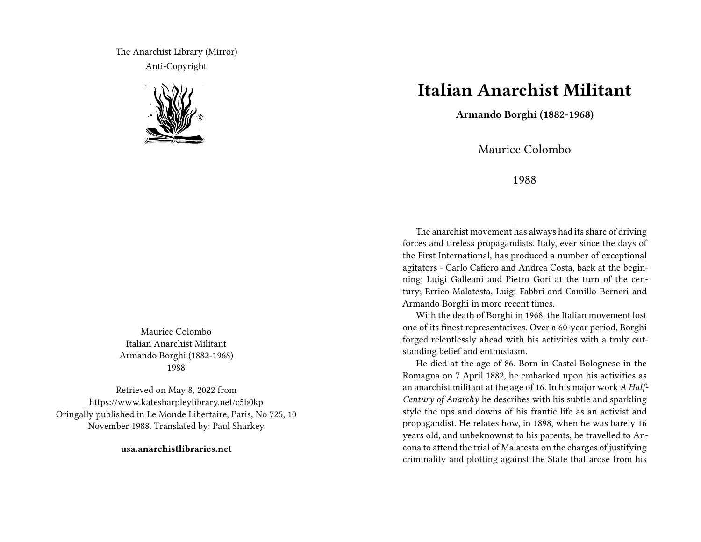The Anarchist Library (Mirror) Anti-Copyright



Maurice Colombo Italian Anarchist Militant Armando Borghi (1882-1968) 1988

Retrieved on May 8, 2022 from https://www.katesharpleylibrary.net/c5b0kp Oringally published in Le Monde Libertaire, Paris, No 725, 10 November 1988. Translated by: Paul Sharkey.

**usa.anarchistlibraries.net**

## **Italian Anarchist Militant**

**Armando Borghi (1882-1968)**

Maurice Colombo

1988

The anarchist movement has always had its share of driving forces and tireless propagandists. Italy, ever since the days of the First International, has produced a number of exceptional agitators - Carlo Cafiero and Andrea Costa, back at the beginning; Luigi Galleani and Pietro Gori at the turn of the century; Errico Malatesta, Luigi Fabbri and Camillo Berneri and Armando Borghi in more recent times.

With the death of Borghi in 1968, the Italian movement lost one of its finest representatives. Over a 60-year period, Borghi forged relentlessly ahead with his activities with a truly outstanding belief and enthusiasm.

He died at the age of 86. Born in Castel Bolognese in the Romagna on 7 April 1882, he embarked upon his activities as an anarchist militant at the age of 16. In his major work *A Half-Century of Anarchy* he describes with his subtle and sparkling style the ups and downs of his frantic life as an activist and propagandist. He relates how, in 1898, when he was barely 16 years old, and unbeknownst to his parents, he travelled to Ancona to attend the trial of Malatesta on the charges of justifying criminality and plotting against the State that arose from his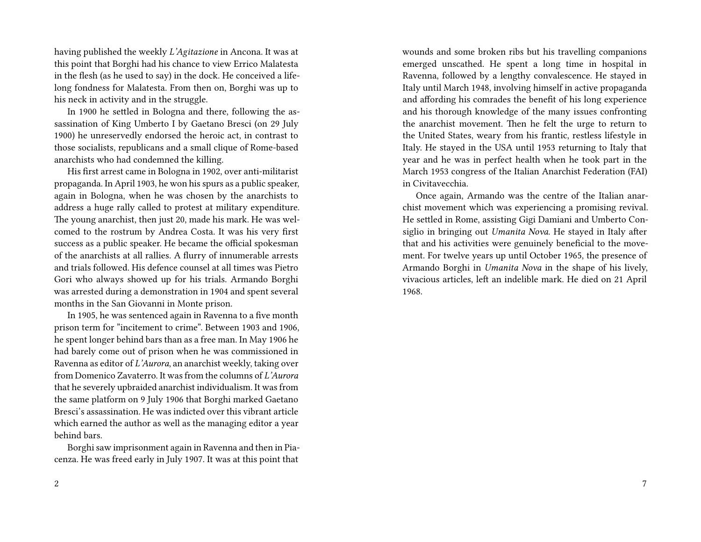having published the weekly *L'Agitazione* in Ancona. It was at this point that Borghi had his chance to view Errico Malatesta in the flesh (as he used to say) in the dock. He conceived a lifelong fondness for Malatesta. From then on, Borghi was up to his neck in activity and in the struggle.

In 1900 he settled in Bologna and there, following the assassination of King Umberto I by Gaetano Bresci (on 29 July 1900) he unreservedly endorsed the heroic act, in contrast to those socialists, republicans and a small clique of Rome-based anarchists who had condemned the killing.

His first arrest came in Bologna in 1902, over anti-militarist propaganda. In April 1903, he won his spurs as a public speaker, again in Bologna, when he was chosen by the anarchists to address a huge rally called to protest at military expenditure. The young anarchist, then just 20, made his mark. He was welcomed to the rostrum by Andrea Costa. It was his very first success as a public speaker. He became the official spokesman of the anarchists at all rallies. A flurry of innumerable arrests and trials followed. His defence counsel at all times was Pietro Gori who always showed up for his trials. Armando Borghi was arrested during a demonstration in 1904 and spent several months in the San Giovanni in Monte prison.

In 1905, he was sentenced again in Ravenna to a five month prison term for "incitement to crime". Between 1903 and 1906, he spent longer behind bars than as a free man. In May 1906 he had barely come out of prison when he was commissioned in Ravenna as editor of *L'Aurora*, an anarchist weekly, taking over from Domenico Zavaterro. It was from the columns of *L'Aurora* that he severely upbraided anarchist individualism. It was from the same platform on 9 July 1906 that Borghi marked Gaetano Bresci's assassination. He was indicted over this vibrant article which earned the author as well as the managing editor a year behind bars.

Borghi saw imprisonment again in Ravenna and then in Piacenza. He was freed early in July 1907. It was at this point that

wounds and some broken ribs but his travelling companions emerged unscathed. He spent a long time in hospital in Ravenna, followed by a lengthy convalescence. He stayed in Italy until March 1948, involving himself in active propaganda and affording his comrades the benefit of his long experience and his thorough knowledge of the many issues confronting the anarchist movement. Then he felt the urge to return to the United States, weary from his frantic, restless lifestyle in Italy. He stayed in the USA until 1953 returning to Italy that year and he was in perfect health when he took part in the March 1953 congress of the Italian Anarchist Federation (FAI) in Civitavecchia.

Once again, Armando was the centre of the Italian anarchist movement which was experiencing a promising revival. He settled in Rome, assisting Gigi Damiani and Umberto Consiglio in bringing out *Umanita Nova*. He stayed in Italy after that and his activities were genuinely beneficial to the movement. For twelve years up until October 1965, the presence of Armando Borghi in *Umanita Nova* in the shape of his lively, vivacious articles, left an indelible mark. He died on 21 April 1968.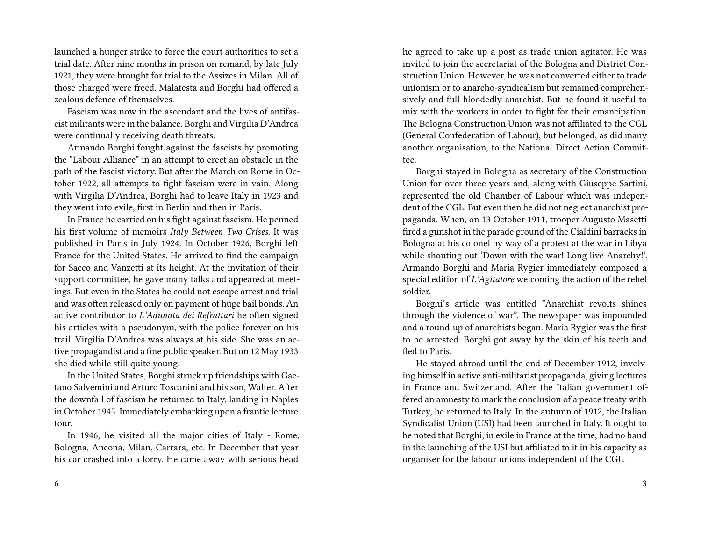launched a hunger strike to force the court authorities to set a trial date. After nine months in prison on remand, by late July 1921, they were brought for trial to the Assizes in Milan. All of those charged were freed. Malatesta and Borghi had offered a zealous defence of themselves.

Fascism was now in the ascendant and the lives of antifascist militants were in the balance. Borghi and Virgilia D'Andrea were continually receiving death threats.

Armando Borghi fought against the fascists by promoting the "Labour Alliance" in an attempt to erect an obstacle in the path of the fascist victory. But after the March on Rome in October 1922, all attempts to fight fascism were in vain. Along with Virgilia D'Andrea, Borghi had to leave Italy in 1923 and they went into exile, first in Berlin and then in Paris.

In France he carried on his fight against fascism. He penned his first volume of memoirs *Italy Between Two Crises*. It was published in Paris in July 1924. In October 1926, Borghi left France for the United States. He arrived to find the campaign for Sacco and Vanzetti at its height. At the invitation of their support committee, he gave many talks and appeared at meetings. But even in the States he could not escape arrest and trial and was often released only on payment of huge bail bonds. An active contributor to *L'Adunata dei Refrattari* he often signed his articles with a pseudonym, with the police forever on his trail. Virgilia D'Andrea was always at his side. She was an active propagandist and a fine public speaker. But on 12 May 1933 she died while still quite young.

In the United States, Borghi struck up friendships with Gaetano Salvemini and Arturo Toscanini and his son, Walter. After the downfall of fascism he returned to Italy, landing in Naples in October 1945. Immediately embarking upon a frantic lecture tour.

In 1946, he visited all the major cities of Italy - Rome, Bologna, Ancona, Milan, Carrara, etc. In December that year his car crashed into a lorry. He came away with serious head he agreed to take up a post as trade union agitator. He was invited to join the secretariat of the Bologna and District Construction Union. However, he was not converted either to trade unionism or to anarcho-syndicalism but remained comprehensively and full-bloodedly anarchist. But he found it useful to mix with the workers in order to fight for their emancipation. The Bologna Construction Union was not affiliated to the CGL (General Confederation of Labour), but belonged, as did many another organisation, to the National Direct Action Committee.

Borghi stayed in Bologna as secretary of the Construction Union for over three years and, along with Giuseppe Sartini, represented the old Chamber of Labour which was independent of the CGL. But even then he did not neglect anarchist propaganda. When, on 13 October 1911, trooper Augusto Masetti fired a gunshot in the parade ground of the Cialdini barracks in Bologna at his colonel by way of a protest at the war in Libya while shouting out 'Down with the war! Long live Anarchy!', Armando Borghi and Maria Rygier immediately composed a special edition of *L'Agitatore* welcoming the action of the rebel soldier.

Borghi's article was entitled "Anarchist revolts shines through the violence of war". The newspaper was impounded and a round-up of anarchists began. Maria Rygier was the first to be arrested. Borghi got away by the skin of his teeth and fled to Paris.

He stayed abroad until the end of December 1912, involving himself in active anti-militarist propaganda, giving lectures in France and Switzerland. After the Italian government offered an amnesty to mark the conclusion of a peace treaty with Turkey, he returned to Italy. In the autumn of 1912, the Italian Syndicalist Union (USI) had been launched in Italy. It ought to be noted that Borghi, in exile in France at the time, had no hand in the launching of the USI but affiliated to it in his capacity as organiser for the labour unions independent of the CGL.